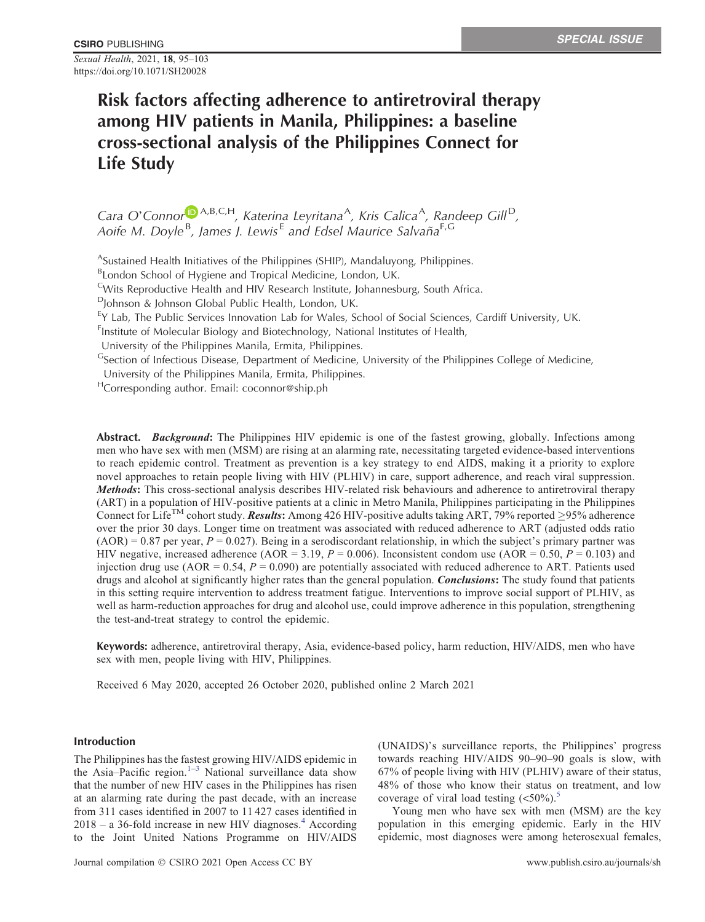Sexual Health, 2021, 18, 95–103 https://doi.org/10.1071/SH20028

# Risk factors affecting adherence to antiretroviral therapy among HIV patients in Manila, Philippines: a baseline cross-sectional analysis of the Philippines Connect for Life Study

Cara O'Connor<sup>in A,B,C,H</sup>, Katerina Leyritana<sup>A</sup>, Kris Calica<sup>A</sup>, Randeep Gill<sup>D</sup>, Aoife M. Doyle<sup>[B](https://orcid.org/0000-0002-3372-8319)</sup>, James J. Lewis<sup>E</sup> and Edsel Maurice Salvaña<sup>F,G</sup>

ASustained Health Initiatives of the Philippines (SHIP), Mandaluyong, Philippines.

BLondon School of Hygiene and Tropical Medicine, London, UK.

CWits Reproductive Health and HIV Research Institute, Johannesburg, South Africa.

 $D$ Johnson & Johnson Global Public Health, London, UK.

<sup>E</sup>Y Lab, The Public Services Innovation Lab for Wales, School of Social Sciences, Cardiff University, UK.

<sup>F</sup>Institute of Molecular Biology and Biotechnology, National Institutes of Health,

University of the Philippines Manila, Ermita, Philippines.

GSection of Infectious Disease, Department of Medicine, University of the Philippines College of Medicine,

University of the Philippines Manila, Ermita, Philippines.

HCorresponding author. Email: [coconnor@ship.ph](mailto:coconnor@ship.ph)

Abstract. Background: The Philippines HIV epidemic is one of the fastest growing, globally. Infections among men who have sex with men (MSM) are rising at an alarming rate, necessitating targeted evidence-based interventions to reach epidemic control. Treatment as prevention is a key strategy to end AIDS, making it a priority to explore novel approaches to retain people living with HIV (PLHIV) in care, support adherence, and reach viral suppression. Methods: This cross-sectional analysis describes HIV-related risk behaviours and adherence to antiretroviral therapy (ART) in a population of HIV-positive patients at a clinic in Metro Manila, Philippines participating in the Philippines Connect for Life<sup>TM</sup> cohort study. Results: Among 426 HIV-positive adults taking ART, 79% reported  $\geq$ 95% adherence over the prior 30 days. Longer time on treatment was associated with reduced adherence to ART (adjusted odds ratio  $(AOR) = 0.87$  per year,  $P = 0.027$ ). Being in a serodiscordant relationship, in which the subject's primary partner was HIV negative, increased adherence (AOR = 3.19,  $P = 0.006$ ). Inconsistent condom use (AOR = 0.50,  $P = 0.103$ ) and injection drug use (AOR =  $0.54$ ,  $P = 0.090$ ) are potentially associated with reduced adherence to ART. Patients used drugs and alcohol at significantly higher rates than the general population. Conclusions: The study found that patients in this setting require intervention to address treatment fatigue. Interventions to improve social support of PLHIV, as well as harm-reduction approaches for drug and alcohol use, could improve adherence in this population, strengthening the test-and-treat strategy to control the epidemic.

Keywords: adherence, antiretroviral therapy, Asia, evidence-based policy, harm reduction, HIV/AIDS, men who have sex with men, people living with HIV, Philippines.

Received 6 May 2020, accepted 26 October 2020, published online 2 March 2021

# Introduction

The Philippines has the fastest growing HIV/AIDS epidemic in the Asia–Pacific region.<sup>[1](#page-7-0)–[3](#page-7-0)</sup> National surveillance data show that the number of new HIV cases in the Philippines has risen at an alarming rate during the past decade, with an increase from 311 cases identified in 2007 to 11 427 cases identified in  $2018 - a$  36-fold increase in new HIV diagnoses.<sup>[4](#page-7-0)</sup> According to the Joint United Nations Programme on HIV/AIDS (UNAIDS)'s surveillance reports, the Philippines' progress towards reaching HIV/AIDS 90–90–90 goals is slow, with 67% of people living with HIV (PLHIV) aware of their status, 48% of those who know their status on treatment, and low coverage of viral load testing  $(<50\%)$  $(<50\%)$  $(<50\%)$ .

Young men who have sex with men (MSM) are the key population in this emerging epidemic. Early in the HIV epidemic, most diagnoses were among heterosexual females,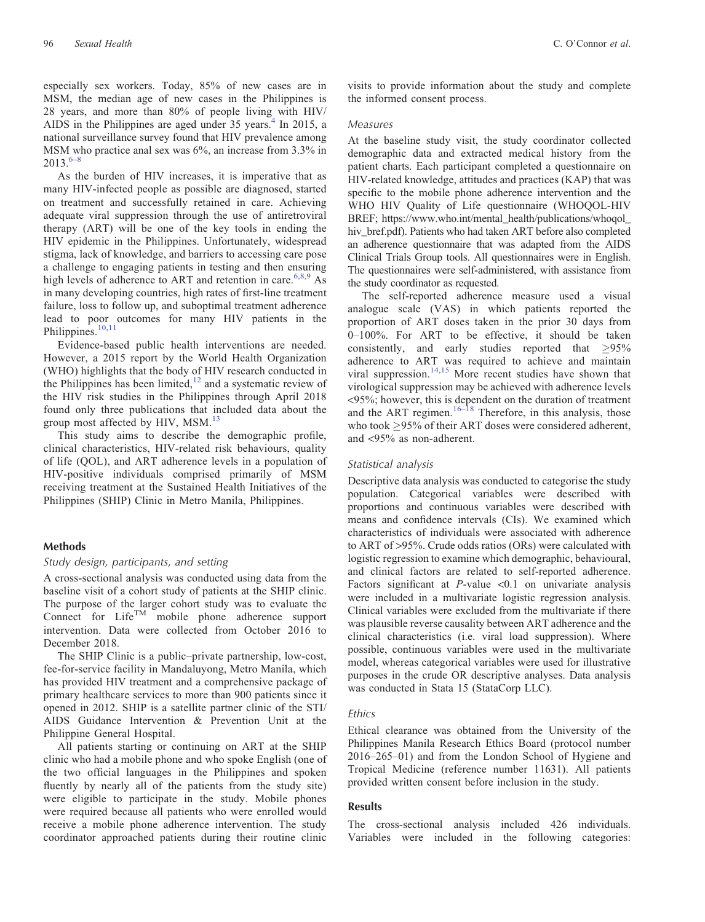especially sex workers. Today, 85% of new cases are in MSM, the median age of new cases in the Philippines is 28 years, and more than 80% of people living with HIV/ AIDS in the Philippines are aged under  $35$  years.<sup>[4](#page-7-0)</sup> In 2015, a national surveillance survey found that HIV prevalence among MSM who practice anal sex was 6%, an increase from 3.3% in  $2013^{6-8}$  $2013^{6-8}$  $2013^{6-8}$  $2013^{6-8}$  $2013^{6-8}$ 

As the burden of HIV increases, it is imperative that as many HIV-infected people as possible are diagnosed, started on treatment and successfully retained in care. Achieving adequate viral suppression through the use of antiretroviral therapy (ART) will be one of the key tools in ending the HIV epidemic in the Philippines. Unfortunately, widespread stigma, lack of knowledge, and barriers to accessing care pose a challenge to engaging patients in testing and then ensuring high levels of adherence to ART and retention in care.<sup>[6,8](#page-7-0),[9](#page-7-0)</sup> As in many developing countries, high rates of first-line treatment failure, loss to follow up, and suboptimal treatment adherence lead to poor outcomes for many HIV patients in the Philippines.<sup>[10,11](#page-7-0)</sup>

Evidence-based public health interventions are needed. However, a 2015 report by the World Health Organization (WHO) highlights that the body of HIV research conducted in the Philippines has been limited, $12$  and a systematic review of the HIV risk studies in the Philippines through April 2018 found only three publications that included data about the group most affected by HIV, MSM.<sup>[13](#page-7-0)</sup>

This study aims to describe the demographic profile, clinical characteristics, HIV-related risk behaviours, quality of life (QOL), and ART adherence levels in a population of HIV-positive individuals comprised primarily of MSM receiving treatment at the Sustained Health Initiatives of the Philippines (SHIP) Clinic in Metro Manila, Philippines.

## Methods

#### Study design, participants, and setting

A cross-sectional analysis was conducted using data from the baseline visit of a cohort study of patients at the SHIP clinic. The purpose of the larger cohort study was to evaluate the Connect for  $Life^{TM}$  mobile phone adherence support intervention. Data were collected from October 2016 to December 2018.

The SHIP Clinic is a public–private partnership, low-cost, fee-for-service facility in Mandaluyong, Metro Manila, which has provided HIV treatment and a comprehensive package of primary healthcare services to more than 900 patients since it opened in 2012. SHIP is a satellite partner clinic of the STI/ AIDS Guidance Intervention & Prevention Unit at the Philippine General Hospital.

All patients starting or continuing on ART at the SHIP clinic who had a mobile phone and who spoke English (one of the two official languages in the Philippines and spoken fluently by nearly all of the patients from the study site) were eligible to participate in the study. Mobile phones were required because all patients who were enrolled would receive a mobile phone adherence intervention. The study coordinator approached patients during their routine clinic visits to provide information about the study and complete the informed consent process.

#### Measures

At the baseline study visit, the study coordinator collected demographic data and extracted medical history from the patient charts. Each participant completed a questionnaire on HIV-related knowledge, attitudes and practices (KAP) that was specific to the mobile phone adherence intervention and the WHO HIV Quality of Life questionnaire (WHOQOL-HIV BREF; https://www.who.int/mental\_health/publications/whoqol hiv bref.pdf). Patients who had taken ART before also completed an adherence questionnaire that was adapted from the AIDS Clinical Trials Group tools. All questionnaires were in English. The questionnaires were self-administered, with assistance from the study coordinator as requested.

The self-reported adherence measure used a visual analogue scale (VAS) in which patients reported the proportion of ART doses taken in the prior 30 days from 0–100%. For ART to be effective, it should be taken consistently, and early studies reported that  $\geq 95\%$ adherence to ART was required to achieve and maintain viral suppression.<sup>[14,15](#page-7-0)</sup> More recent studies have shown that virological suppression may be achieved with adherence levels <95%; however, this is dependent on the duration of treatment and the ART regimen.[16](#page-8-0)–[18](#page-8-0) Therefore, in this analysis, those who took  $\geq$ 95% of their ART doses were considered adherent, and <95% as non-adherent.

# Statistical analysis

Descriptive data analysis was conducted to categorise the study population. Categorical variables were described with proportions and continuous variables were described with means and confidence intervals (CIs). We examined which characteristics of individuals were associated with adherence to ART of >95%. Crude odds ratios (ORs) were calculated with logistic regression to examine which demographic, behavioural, and clinical factors are related to self-reported adherence. Factors significant at  $P$ -value <0.1 on univariate analysis were included in a multivariate logistic regression analysis. Clinical variables were excluded from the multivariate if there was plausible reverse causality between ART adherence and the clinical characteristics (i.e. viral load suppression). Where possible, continuous variables were used in the multivariate model, whereas categorical variables were used for illustrative purposes in the crude OR descriptive analyses. Data analysis was conducted in Stata 15 (StataCorp LLC).

# **Ethics**

Ethical clearance was obtained from the University of the Philippines Manila Research Ethics Board (protocol number 2016–265–01) and from the London School of Hygiene and Tropical Medicine (reference number 11631). All patients provided written consent before inclusion in the study.

# Results

The cross-sectional analysis included 426 individuals. Variables were included in the following categories: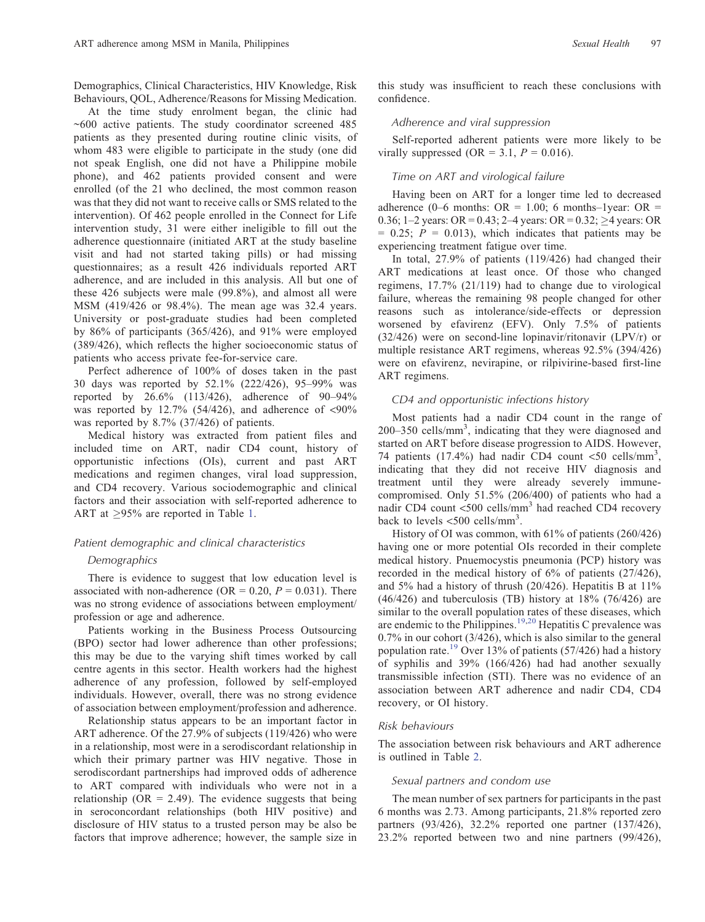Demographics, Clinical Characteristics, HIV Knowledge, Risk Behaviours, QOL, Adherence/Reasons for Missing Medication.

At the time study enrolment began, the clinic had ~600 active patients. The study coordinator screened 485 patients as they presented during routine clinic visits, of whom 483 were eligible to participate in the study (one did not speak English, one did not have a Philippine mobile phone), and 462 patients provided consent and were enrolled (of the 21 who declined, the most common reason was that they did not want to receive calls or SMS related to the intervention). Of 462 people enrolled in the Connect for Life intervention study, 31 were either ineligible to fill out the adherence questionnaire (initiated ART at the study baseline visit and had not started taking pills) or had missing questionnaires; as a result 426 individuals reported ART adherence, and are included in this analysis. All but one of these 426 subjects were male (99.8%), and almost all were MSM (419/426 or 98.4%). The mean age was 32.4 years. University or post-graduate studies had been completed by 86% of participants (365/426), and 91% were employed (389/426), which reflects the higher socioeconomic status of patients who access private fee-for-service care.

Perfect adherence of 100% of doses taken in the past 30 days was reported by 52.1% (222/426), 95–99% was reported by 26.6% (113/426), adherence of 90–94% was reported by  $12.7\%$  (54/426), and adherence of <90% was reported by 8.7% (37/426) of patients.

Medical history was extracted from patient files and included time on ART, nadir CD4 count, history of opportunistic infections (OIs), current and past ART medications and regimen changes, viral load suppression, and CD4 recovery. Various sociodemographic and clinical factors and their association with self-reported adherence to ART at  $\geq$ 95% are reported in Table [1](#page-3-0).

#### Patient demographic and clinical characteristics

## Demographics

There is evidence to suggest that low education level is associated with non-adherence (OR =  $0.20$ ,  $P = 0.031$ ). There was no strong evidence of associations between employment/ profession or age and adherence.

Patients working in the Business Process Outsourcing (BPO) sector had lower adherence than other professions; this may be due to the varying shift times worked by call centre agents in this sector. Health workers had the highest adherence of any profession, followed by self-employed individuals. However, overall, there was no strong evidence of association between employment/profession and adherence.

Relationship status appears to be an important factor in ART adherence. Of the 27.9% of subjects (119/426) who were in a relationship, most were in a serodiscordant relationship in which their primary partner was HIV negative. Those in serodiscordant partnerships had improved odds of adherence to ART compared with individuals who were not in a relationship ( $OR = 2.49$ ). The evidence suggests that being in seroconcordant relationships (both HIV positive) and disclosure of HIV status to a trusted person may be also be factors that improve adherence; however, the sample size in

this study was insufficient to reach these conclusions with confidence.

# Adherence and viral suppression

Self-reported adherent patients were more likely to be virally suppressed (OR = 3.1,  $P = 0.016$ ).

#### Time on ART and virological failure

Having been on ART for a longer time led to decreased adherence (0–6 months:  $OR = 1.00$ ; 6 months–1year:  $OR =$ 0.36; 1–2 years: OR = 0.43; 2–4 years: OR = 0.32; >4 years: OR  $= 0.25$ ;  $P = 0.013$ , which indicates that patients may be experiencing treatment fatigue over time.

In total, 27.9% of patients (119/426) had changed their ART medications at least once. Of those who changed regimens, 17.7% (21/119) had to change due to virological failure, whereas the remaining 98 people changed for other reasons such as intolerance/side-effects or depression worsened by efavirenz (EFV). Only 7.5% of patients (32/426) were on second-line lopinavir/ritonavir (LPV/r) or multiple resistance ART regimens, whereas 92.5% (394/426) were on efavirenz, nevirapine, or rilpivirine-based first-line ART regimens.

## CD4 and opportunistic infections history

Most patients had a nadir CD4 count in the range of 200-350 cells/mm<sup>3</sup>, indicating that they were diagnosed and started on ART before disease progression to AIDS. However, 74 patients (17.4%) had nadir CD4 count <50 cells/mm<sup>3</sup>, indicating that they did not receive HIV diagnosis and treatment until they were already severely immunecompromised. Only 51.5% (206/400) of patients who had a nadir CD4 count <500 cells/mm<sup>3</sup> had reached CD4 recovery back to levels  $\langle 500 \text{ cells/mm}^3$ .

History of OI was common, with 61% of patients (260/426) having one or more potential OIs recorded in their complete medical history. Pnuemocystis pneumonia (PCP) history was recorded in the medical history of 6% of patients (27/426), and 5% had a history of thrush (20/426). Hepatitis B at 11%  $(46/426)$  and tuberculosis (TB) history at  $18\%$  (76/426) are similar to the overall population rates of these diseases, which are endemic to the Philippines.<sup>[19,20](#page-8-0)</sup> Hepatitis C prevalence was 0.7% in our cohort (3/426), which is also similar to the general population rate.[19](#page-8-0) Over 13% of patients (57/426) had a history of syphilis and 39% (166/426) had had another sexually transmissible infection (STI). There was no evidence of an association between ART adherence and nadir CD4, CD4 recovery, or OI history.

#### Risk behaviours

The association between risk behaviours and ART adherence is outlined in Table [2.](#page-4-0)

#### Sexual partners and condom use

The mean number of sex partners for participants in the past 6 months was 2.73. Among participants, 21.8% reported zero partners (93/426), 32.2% reported one partner (137/426), 23.2% reported between two and nine partners (99/426),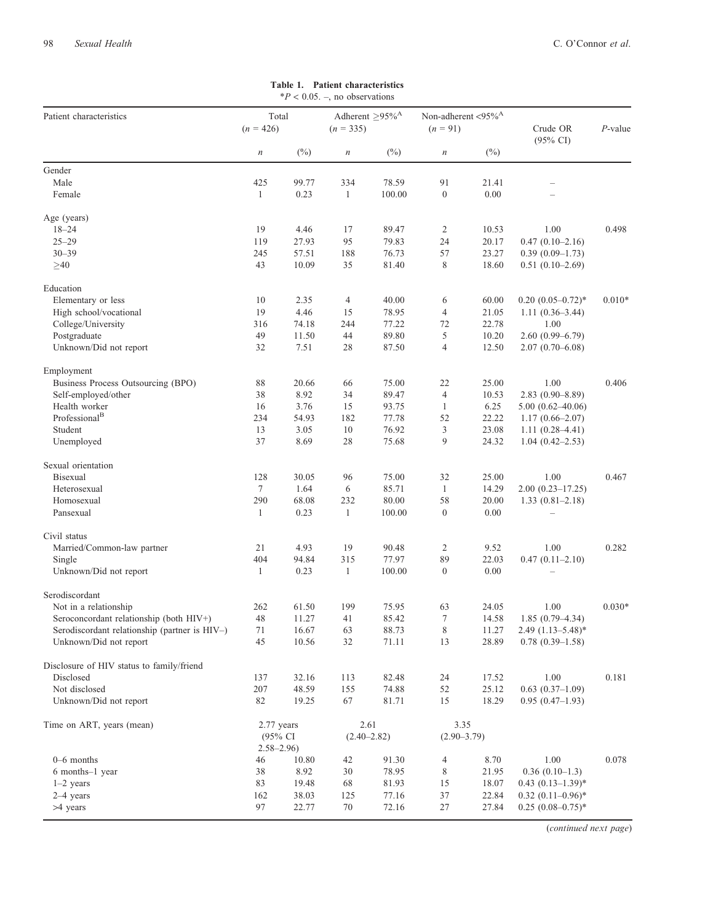# <span id="page-3-0"></span> $*P < 0.05$ . –, no observations Patient characteristics Total Adherent  $\geq 95\%^{A}$  Non-adherent  $\lt 95\%^{A}$  (n = 91)<br>  $(n = 426)$  (n = 335) (n = 91)  $(n = 426)$   $(n = 335)$   $(n = 91)$  Crude OR (95% CI) P-value n (%) n (%) n (%) Gender Male 21.41 – 21.41 – 21.41 – 21.41 – 21.41 – 21.41 – 21.41 – 21.41 – 21.41 – 21.41 – 21.41 – 21.41 – 21.41 – 2 Female 1 0.23 1 100.00 0 0.00 – Age (years) 18–24 19 4.46 17 89.47 2 10.53 1.00 0.498 25–29 119 27.93 95 79.83 24 20.17 0.47 (0.10–2.16)<br>30–39 245 57.51 188 76.73 57 23.27 0.39 (0.09–1.73) 30–39 245 57.51 188 76.73 57 23.27 0.39 (0.09–1.73)  $\geq 40$  43 10.09 35 81.40 8 18.60 0.51 (0.10–2.69) Education Elementary or less 10 2.35 4 40.00 6 60.00 0.20 (0.05–0.72)\* 0.010\*<br>
High school/vocational 19 4.46 15 78.95 4 21.05 1.11 (0.36–3.44) High school/vocational 19 4.46 15 78.95 4 21.05 1.11 (0.36–3.44)<br>College/University 316 74.18 244 77.22 72 22.78 1.00 College/University 316 74.18 244 77.22 72 22.78 1.00<br>Postgraduate 49 11.50 44 89.80 5 10.20 2.60 (0.99 Postgraduate 49 11.50 44 89.80 5 10.20 2.60 (0.99–6.79) Unknown/Did not report 32 7.51 28 87.50 4 12.50 2.07 (0.70–6.08) Employment Business Process Outsourcing (BPO) 88 20.66 66 75.00 22 25.00 1.00 0.406<br>Self-employed/other 38 8.92 34 89.47 4 10.53 2.83 (0.90–8.89) Self-employed/other 38 8.92 34 89.47 4 10.53 Health worker 16 3.76 15 93.75 1 6.25 5.00 (0.62–40.06) Professional<sup>B</sup> 234 54.93 182 77.78 52 22.22 1.17 (0.66–2.07) Student 13 3.05 10 76.92 3 23.08 1.11 (0.28–4.41) Unemployed 37 8.69 28 75.68 9 24.32 1.04 (0.42–2.53) Sexual orientation Bisexual 128 30.05 96 75.00 32 25.00 1.00 0.467 Heterosexual 7 1.64 6 85.71 1 14.29 2.00 (0.23–17.25) Homosexual 290 68.08 232 80.00 58 20.00 1.33 (0.81–2.18) Pansexual 1 0.23 1 100.00 0 0.00 – Civil status Married/Common-law partner 21 4.93 19 90.48 2 9.52 1.00 0.282<br>Single 404 94.84 315 77.97 89 22.03 0.47 (0.11–2.10) Single 404 94.84 315 77.97 89 22.03 0.47 (0.11–2.10) Unknown/Did not report 1 0.23 1 100.00 0 0.00 Serodiscordant Not in a relationship <br>
Seroconcordant relationship (both HIV+) <br>  $\begin{array}{ccccccccc}\n & 262 & 61.50 & 199 & 75.95 & 63 & 24.05 & 1.00 & 0.030* \\
 & & 48 & 11.27 & 41 & 85.42 & 7 & 14.58 & 1.85 & (0.79-4.34)\n\end{array}$ Seroconcordant relationship (both HIV+) 48 11.27 41 85.42 7 14.58 1.85 (0.79–4.34) Serodiscordant relationship (partner is HIV–) 71 16.67 63 88.73 8 11.27 2.49 (1.13–5.48)\* Unknown/Did not report  $45$   $10.56$   $32$   $71.11$   $13$   $28.89$   $0.78$   $(0.39-1.58)$ Disclosure of HIV status to family/friend Disclosed 137 32.16 113 82.48 24 17.52 1.00 0.181 Not disclosed 207 48.59 155 74.88 52 25.12 0.63 (0.37–1.09) Unknown/Did not report 82 19.25 67 81.71 15 18.29 0.95 (0.47–1.93) Time on ART, years (mean) 2.77 years (95% CI  $2.58-2.96$ <br>46 10.80 2.61  $(2.40 - 2.82)$ 3.35  $(2.90-3.79)$ 0–6 months 6 10.80 42 91.30 4 8.70 1.00 0.078 6 months–1 year 38 8.92 30 78.95 8 21.95 0.36 (0.10–1.3) 1–2 years 83 19.48 68 81.93 15 18.07 0.43 (0.13–1.39)\* 2–4 years 162 38.03 125 77.16 37 22.84 0.32 (0.11–0.96)\* >4 years 97 22.77 70 72.16 27 27.84 0.25 (0.08–0.75)\*

Table 1. Patient characteristics

(continued next page)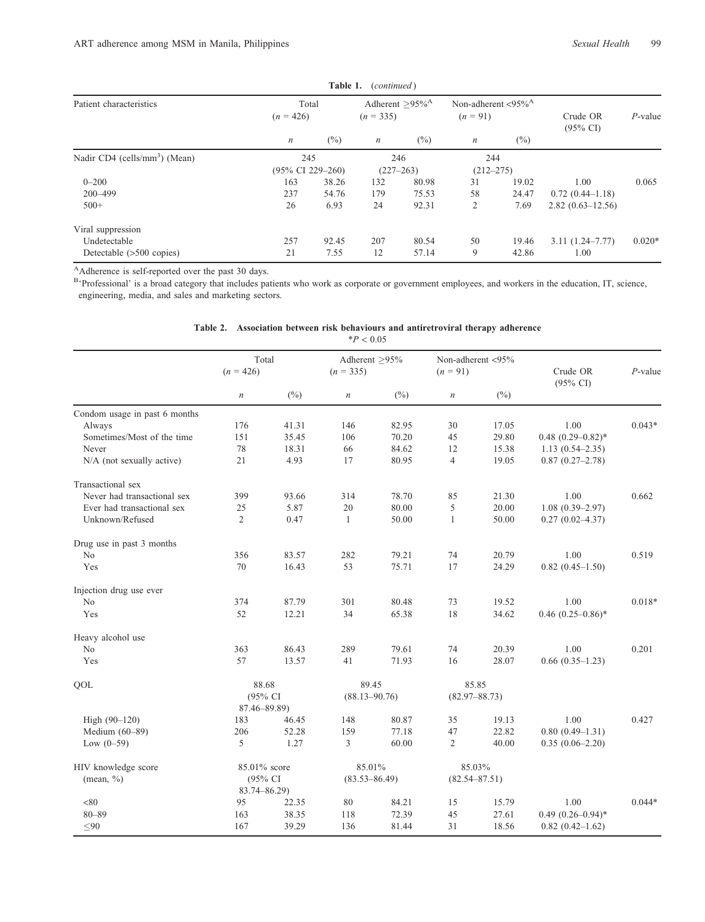<span id="page-4-0"></span>

|                                           |                                | Table 1. | (continued)                                  |        |                                                   |        |                                 |            |
|-------------------------------------------|--------------------------------|----------|----------------------------------------------|--------|---------------------------------------------------|--------|---------------------------------|------------|
| Patient characteristics                   | Total<br>$(n = 426)$           |          | Adherent $>95\%$ <sup>A</sup><br>$(n = 335)$ |        | Non-adherent $\langle 95\%^{\rm A}$<br>$(n = 91)$ |        | Crude OR<br>$(95\% \text{ CI})$ | $P$ -value |
|                                           | $\boldsymbol{n}$               | $(\%)$   | $\boldsymbol{n}$                             | $(\%)$ | $\boldsymbol{n}$                                  | $(\%)$ |                                 |            |
| Nadir CD4 (cells/mm <sup>3</sup> ) (Mean) | 245                            |          | 246                                          |        | 244                                               |        |                                 |            |
|                                           | $(95\% \text{ CI } 229 - 260)$ |          | $(227 - 263)$                                |        | $(212 - 275)$                                     |        |                                 |            |
| $0 - 200$                                 | 163                            | 38.26    | 132                                          | 80.98  | 31                                                | 19.02  | 1.00                            | 0.065      |
| 200-499                                   | 237                            | 54.76    | 179                                          | 75.53  | 58                                                | 24.47  | $0.72(0.44 - 1.18)$             |            |
| $500+$                                    | 26                             | 6.93     | 24                                           | 92.31  | 2                                                 | 7.69   | $2.82(0.63 - 12.56)$            |            |
| Viral suppression                         |                                |          |                                              |        |                                                   |        |                                 |            |
| Undetectable                              | 257                            | 92.45    | 207                                          | 80.54  | 50                                                | 19.46  | $3.11(1.24 - 7.77)$             | $0.020*$   |
| Detectable (>500 copies)                  | 21                             | 7.55     | 12                                           | 57.14  | 9                                                 | 42.86  | 1.00                            |            |

<sup>A</sup>Adherence is self-reported over the past 30 days.

 $\overline{a}$ 

B'Professional' is a broad category that includes patients who work as corporate or government employees, and workers in the education, IT, science, engineering, media, and sales and marketing sectors.

|                               |                      |                         | $*P < 0.05$                  |                   |                                    |                   |                                 |            |
|-------------------------------|----------------------|-------------------------|------------------------------|-------------------|------------------------------------|-------------------|---------------------------------|------------|
|                               | Total<br>$(n = 426)$ |                         | Adherent >95%<br>$(n = 335)$ |                   | Non-adherent $<$ 95%<br>$(n = 91)$ |                   | Crude OR<br>$(95\% \text{ CI})$ | $P$ -value |
|                               | $\,n$                | $(\%)$                  | $\it n$                      | $(\%)$            | $\,n$                              | $(\%)$            |                                 |            |
| Condom usage in past 6 months |                      |                         |                              |                   |                                    |                   |                                 |            |
| Always                        | 176                  | 41.31                   | 146                          | 82.95             | 30                                 | 17.05             | 1.00                            | $0.043*$   |
| Sometimes/Most of the time    | 151                  | 35.45                   | 106                          | 70.20             | 45                                 | 29.80             | $0.48$ $(0.29 - 0.82)$ *        |            |
| Never                         | 78                   | 18.31                   | 66                           | 84.62             | 12                                 | 15.38             | $1.13(0.54 - 2.35)$             |            |
| N/A (not sexually active)     | 21                   | 4.93                    | 17                           | 80.95             | 4                                  | 19.05             | $0.87(0.27-2.78)$               |            |
| Transactional sex             |                      |                         |                              |                   |                                    |                   |                                 |            |
| Never had transactional sex   | 399                  | 93.66                   | 314                          | 78.70             | 85                                 | 21.30             | 1.00                            | 0.662      |
| Ever had transactional sex    | 25                   | 5.87                    | 20                           | 80.00             | 5                                  | 20.00             | $1.08(0.39 - 2.97)$             |            |
| Unknown/Refused               | $\overline{2}$       | 0.47                    | $\mathbf{1}$                 | 50.00             | 1                                  | 50.00             | $0.27(0.02 - 4.37)$             |            |
| Drug use in past 3 months     |                      |                         |                              |                   |                                    |                   |                                 |            |
| N <sub>0</sub>                | 356                  | 83.57                   | 282                          | 79.21             | 74                                 | 20.79             | 1.00                            | 0.519      |
| Yes                           | 70                   | 16.43                   | 53                           | 75.71             | 17                                 | 24.29             | $0.82(0.45-1.50)$               |            |
| Injection drug use ever       |                      |                         |                              |                   |                                    |                   |                                 |            |
| No                            | 374                  | 87.79                   | 301                          | 80.48             | 73                                 | 19.52             | 1.00                            | $0.018*$   |
| Yes                           | 52                   | 12.21                   | 34                           | 65.38             | 18                                 | 34.62             | $0.46$ $(0.25-0.86)$ *          |            |
| Heavy alcohol use             |                      |                         |                              |                   |                                    |                   |                                 |            |
| N <sub>0</sub>                | 363                  | 86.43                   | 289                          | 79.61             | 74                                 | 20.39             | 1.00                            | 0.201      |
| Yes                           | 57                   | 13.57                   | 41                           | 71.93             | 16                                 | 28.07             | $0.66$ $(0.35-1.23)$            |            |
| QOL                           | 88.68                |                         | 89.45                        |                   | 85.85                              |                   |                                 |            |
|                               |                      | (95% CI<br>87.46-89.89) |                              | $(88.13 - 90.76)$ |                                    | $(82.97 - 88.73)$ |                                 |            |
| High (90-120)                 | 183                  | 46.45                   | 148                          | 80.87             | 35                                 | 19.13             | 1.00                            | 0.427      |
| Medium $(60-89)$              | 206                  | 52.28                   | 159                          | 77.18             | 47                                 | 22.82             | $0.80(0.49-1.31)$               |            |
| Low $(0-59)$                  | 5                    | 1.27                    | 3                            | 60.00             | $\overline{c}$                     | 40.00             | $0.35(0.06-2.20)$               |            |
| HIV knowledge score           | 85.01% score         |                         | 85.01%                       |                   | 85.03%                             |                   |                                 |            |
| $(\text{mean}, \frac{0}{0})$  | (95% CI              |                         | $(83.53 - 86.49)$            |                   | $(82.54 - 87.51)$                  |                   |                                 |            |
|                               | $83.74 - 86.29$      |                         |                              |                   |                                    |                   |                                 |            |
| < 80                          | 95                   | 22.35                   | 80                           | 84.21             | 15                                 | 15.79             | 1.00                            | $0.044*$   |
| $80 - 89$                     | 163                  | 38.35                   | 118                          | 72.39             | 45                                 | 27.61             | $0.49(0.26 - 0.94)^*$           |            |
| $\leq 90$                     | 167                  | 39.29                   | 136                          | 81.44             | 31                                 | 18.56             | $0.82(0.42 - 1.62)$             |            |

|  |  |  |  |  |  | Table 2. Association between risk behaviours and antiretroviral therapy adherence |  |  |
|--|--|--|--|--|--|-----------------------------------------------------------------------------------|--|--|
|--|--|--|--|--|--|-----------------------------------------------------------------------------------|--|--|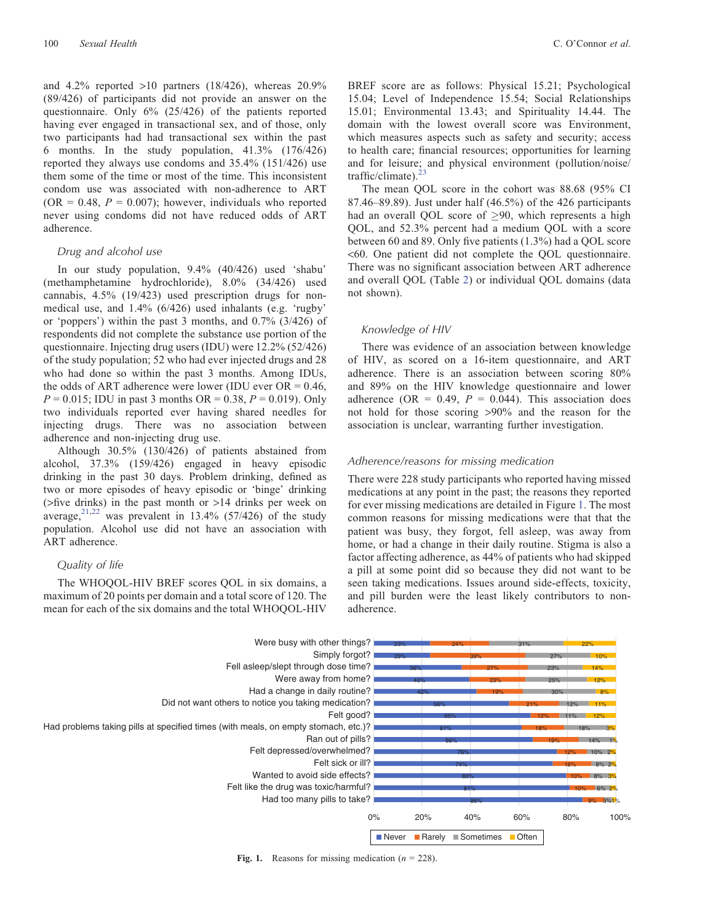and  $4.2\%$  reported  $>10$  partners (18/426), whereas  $20.9\%$ (89/426) of participants did not provide an answer on the questionnaire. Only 6% (25/426) of the patients reported having ever engaged in transactional sex, and of those, only two participants had had transactional sex within the past 6 months. In the study population, 41.3% (176/426) reported they always use condoms and 35.4% (151/426) use them some of the time or most of the time. This inconsistent condom use was associated with non-adherence to ART  $(OR = 0.48, P = 0.007)$ ; however, individuals who reported never using condoms did not have reduced odds of ART adherence.

## Drug and alcohol use

In our study population, 9.4% (40/426) used 'shabu' (methamphetamine hydrochloride), 8.0% (34/426) used cannabis, 4.5% (19/423) used prescription drugs for nonmedical use, and 1.4% (6/426) used inhalants (e.g. 'rugby' or 'poppers') within the past 3 months, and 0.7% (3/426) of respondents did not complete the substance use portion of the questionnaire. Injecting drug users (IDU) were 12.2% (52/426) of the study population; 52 who had ever injected drugs and 28 who had done so within the past 3 months. Among IDUs, the odds of ART adherence were lower (IDU ever  $OR = 0.46$ ,  $P = 0.015$ ; IDU in past 3 months OR = 0.38,  $P = 0.019$ ). Only two individuals reported ever having shared needles for injecting drugs. There was no association between adherence and non-injecting drug use.

Although 30.5% (130/426) of patients abstained from alcohol, 37.3% (159/426) engaged in heavy episodic drinking in the past 30 days. Problem drinking, defined as two or more episodes of heavy episodic or 'binge' drinking (>five drinks) in the past month or >14 drinks per week on average, $2^{1,22}$  was prevalent in 13.4% (57/426) of the study population. Alcohol use did not have an association with ART adherence.

## Quality of life

The WHOQOL-HIV BREF scores QOL in six domains, a maximum of 20 points per domain and a total score of 120. The mean for each of the six domains and the total WHOQOL-HIV

BREF score are as follows: Physical 15.21; Psychological 15.04; Level of Independence 15.54; Social Relationships 15.01; Environmental 13.43; and Spirituality 14.44. The domain with the lowest overall score was Environment, which measures aspects such as safety and security; access to health care; financial resources; opportunities for learning and for leisure; and physical environment (pollution/noise/ traffic/climate). $23$ 

The mean QOL score in the cohort was 88.68 (95% CI 87.46–89.89). Just under half (46.5%) of the 426 participants had an overall OOL score of  $>90$ , which represents a high QOL, and 52.3% percent had a medium QOL with a score between 60 and 89. Only five patients (1.3%) had a QOL score <60. One patient did not complete the QOL questionnaire. There was no significant association between ART adherence and overall QOL (Table [2](#page-4-0)) or individual QOL domains (data not shown).

# Knowledge of HIV

There was evidence of an association between knowledge of HIV, as scored on a 16-item questionnaire, and ART adherence. There is an association between scoring 80% and 89% on the HIV knowledge questionnaire and lower adherence (OR = 0.49,  $P = 0.044$ ). This association does not hold for those scoring >90% and the reason for the association is unclear, warranting further investigation.

# Adherence/reasons for missing medication

There were 228 study participants who reported having missed medications at any point in the past; the reasons they reported for ever missing medications are detailed in Figure 1. The most common reasons for missing medications were that that the patient was busy, they forgot, fell asleep, was away from home, or had a change in their daily routine. Stigma is also a factor affecting adherence, as 44% of patients who had skipped a pill at some point did so because they did not want to be seen taking medications. Issues around side-effects, toxicity, and pill burden were the least likely contributors to nonadherence.



Fig. 1. Reasons for missing medication ( $n = 228$ ).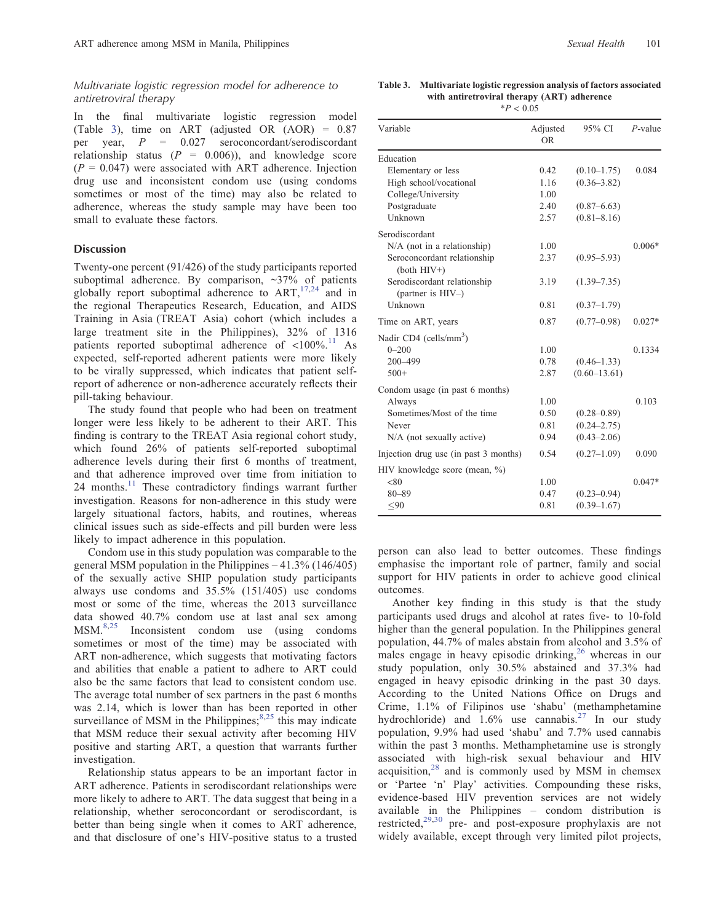# Multivariate logistic regression model for adherence to antiretroviral therapy

In the final multivariate logistic regression model (Table 3), time on ART (adjusted OR (AOR) = 0.87 per year, P = 0.027 seroconcordant/serodiscordant relationship status  $(P = 0.006)$ , and knowledge score  $(P = 0.047)$  were associated with ART adherence. Injection drug use and inconsistent condom use (using condoms sometimes or most of the time) may also be related to adherence, whereas the study sample may have been too small to evaluate these factors.

## Discussion

Twenty-one percent (91/426) of the study participants reported suboptimal adherence. By comparison,  $\sim$ 37% of patients globally report suboptimal adherence to  $ART$ ,  $^{17,24}$  $^{17,24}$  $^{17,24}$  and in the regional Therapeutics Research, Education, and AIDS Training in Asia (TREAT Asia) cohort (which includes a large treatment site in the Philippines), 32% of 1316 patients reported suboptimal adherence of  $\langle 100\%$ .<sup>[11](#page-7-0)</sup> As expected, self-reported adherent patients were more likely to be virally suppressed, which indicates that patient selfreport of adherence or non-adherence accurately reflects their pill-taking behaviour.

The study found that people who had been on treatment longer were less likely to be adherent to their ART. This finding is contrary to the TREAT Asia regional cohort study, which found 26% of patients self-reported suboptimal adherence levels during their first 6 months of treatment, and that adherence improved over time from initiation to 24 months.<sup>[11](#page-7-0)</sup> These contradictory findings warrant further investigation. Reasons for non-adherence in this study were largely situational factors, habits, and routines, whereas clinical issues such as side-effects and pill burden were less likely to impact adherence in this population.

Condom use in this study population was comparable to the general MSM population in the Philippines – 41.3% (146/405) of the sexually active SHIP population study participants always use condoms and 35.5% (151/405) use condoms most or some of the time, whereas the 2013 surveillance data showed 40.7% condom use at last anal sex among MSM.[8,](#page-7-0)[25](#page-8-0) Inconsistent condom use (using condoms sometimes or most of the time) may be associated with ART non-adherence, which suggests that motivating factors and abilities that enable a patient to adhere to ART could also be the same factors that lead to consistent condom use. The average total number of sex partners in the past 6 months was 2.14, which is lower than has been reported in other surveillance of MSM in the Philippines; $8,25$  $8,25$  this may indicate that MSM reduce their sexual activity after becoming HIV positive and starting ART, a question that warrants further investigation.

Relationship status appears to be an important factor in ART adherence. Patients in serodiscordant relationships were more likely to adhere to ART. The data suggest that being in a relationship, whether seroconcordant or serodiscordant, is better than being single when it comes to ART adherence, and that disclosure of one's HIV-positive status to a trusted

Table 3. Multivariate logistic regression analysis of factors associated with antiretroviral therapy (ART) adherence  $*P < 0.05$ 

| Variable                                         | Adjusted<br><b>OR</b> | 95% CI           | $P$ -value |
|--------------------------------------------------|-----------------------|------------------|------------|
| Education                                        |                       |                  |            |
| Elementary or less                               | 0.42                  | $(0.10 - 1.75)$  | 0.084      |
| High school/vocational                           | 1.16                  | $(0.36 - 3.82)$  |            |
| College/University                               | 1.00                  |                  |            |
| Postgraduate                                     | 2.40                  | $(0.87 - 6.63)$  |            |
| Unknown                                          | 2.57                  | $(0.81 - 8.16)$  |            |
| Serodiscordant                                   |                       |                  |            |
| $N/A$ (not in a relationship)                    | 1.00                  |                  | $0.006*$   |
| Seroconcordant relationship<br>$(both$ $HIV+)$   | 2.37                  | $(0.95 - 5.93)$  |            |
| Serodiscordant relationship<br>(partner is HIV-) | 3.19                  | $(1.39 - 7.35)$  |            |
| Unknown                                          | 0.81                  | $(0.37 - 1.79)$  |            |
| Time on ART, years                               | 0.87                  | $(0.77 - 0.98)$  | $0.027*$   |
| Nadir CD4 (cells/mm <sup>3</sup> )               |                       |                  |            |
| $0 - 200$                                        | 1.00                  |                  | 0.1334     |
| 200-499                                          | 0.78                  | $(0.46 - 1.33)$  |            |
| $500+$                                           | 2.87                  | $(0.60 - 13.61)$ |            |
| Condom usage (in past 6 months)                  |                       |                  |            |
| Always                                           | 1.00                  |                  | 0.103      |
| Sometimes/Most of the time                       | 0.50                  | $(0.28 - 0.89)$  |            |
| Never                                            | 0.81                  | $(0.24 - 2.75)$  |            |
| N/A (not sexually active)                        | 0.94                  | $(0.43 - 2.06)$  |            |
| Injection drug use (in past 3 months)            | 0.54                  | $(0.27 - 1.09)$  | 0.090      |
| HIV knowledge score (mean, %)                    |                       |                  |            |
| < 80                                             | 1.00                  |                  | $0.047*$   |
| $80 - 89$                                        | 0.47                  | $(0.23 - 0.94)$  |            |
| < 90                                             | 0.81                  | $(0.39 - 1.67)$  |            |
|                                                  |                       |                  |            |

person can also lead to better outcomes. These findings emphasise the important role of partner, family and social support for HIV patients in order to achieve good clinical outcomes.

Another key finding in this study is that the study participants used drugs and alcohol at rates five- to 10-fold higher than the general population. In the Philippines general population, 44.7% of males abstain from alcohol and 3.5% of males engage in heavy episodic drinking,  $^{26}$  $^{26}$  $^{26}$  whereas in our study population, only 30.5% abstained and 37.3% had engaged in heavy episodic drinking in the past 30 days. According to the United Nations Office on Drugs and Crime, 1.1% of Filipinos use 'shabu' (methamphetamine hydrochloride) and  $1.6\%$  use cannabis.<sup>[27](#page-8-0)</sup> In our study population, 9.9% had used 'shabu' and 7.7% used cannabis within the past 3 months. Methamphetamine use is strongly associated with high-risk sexual behaviour and HIV acquisition,<sup>[28](#page-8-0)</sup> and is commonly used by MSM in chemsex or 'Partee 'n' Play' activities. Compounding these risks, evidence-based HIV prevention services are not widely available in the Philippines – condom distribution is restricted,<sup>[29,30](#page-8-0)</sup> pre- and post-exposure prophylaxis are not widely available, except through very limited pilot projects,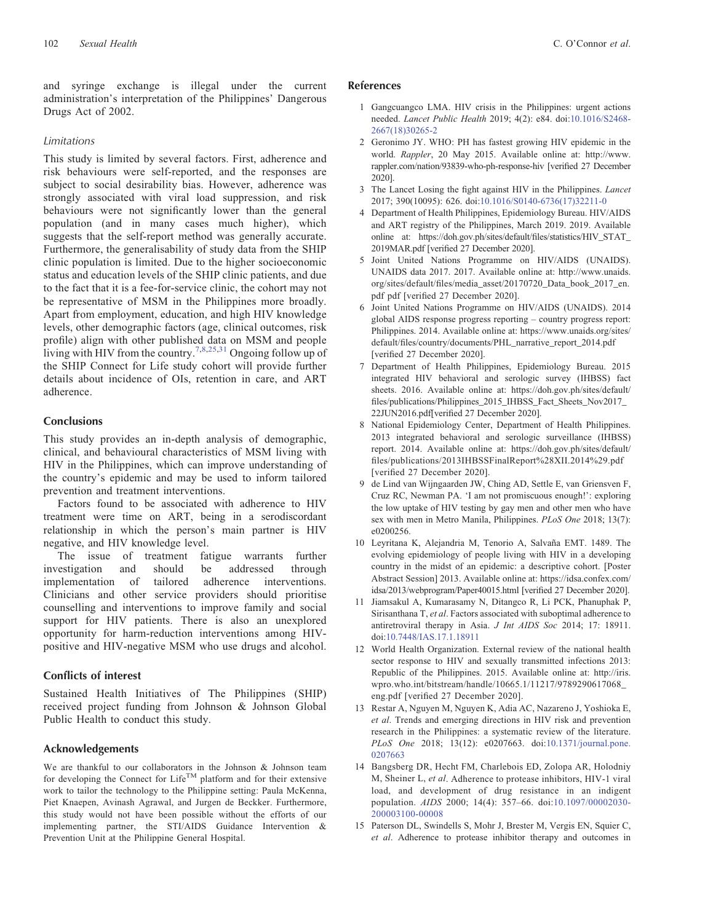<span id="page-7-0"></span>and syringe exchange is illegal under the current administration's interpretation of the Philippines' Dangerous Drugs Act of 2002.

#### Limitations

This study is limited by several factors. First, adherence and risk behaviours were self-reported, and the responses are subject to social desirability bias. However, adherence was strongly associated with viral load suppression, and risk behaviours were not significantly lower than the general population (and in many cases much higher), which suggests that the self-report method was generally accurate. Furthermore, the generalisability of study data from the SHIP clinic population is limited. Due to the higher socioeconomic status and education levels of the SHIP clinic patients, and due to the fact that it is a fee-for-service clinic, the cohort may not be representative of MSM in the Philippines more broadly. Apart from employment, education, and high HIV knowledge levels, other demographic factors (age, clinical outcomes, risk profile) align with other published data on MSM and people living with HIV from the country.<sup>7,8,[25](#page-8-0),[31](#page-8-0)</sup> Ongoing follow up of the SHIP Connect for Life study cohort will provide further details about incidence of OIs, retention in care, and ART adherence.

# Conclusions

This study provides an in-depth analysis of demographic, clinical, and behavioural characteristics of MSM living with HIV in the Philippines, which can improve understanding of the country's epidemic and may be used to inform tailored prevention and treatment interventions.

Factors found to be associated with adherence to HIV treatment were time on ART, being in a serodiscordant relationship in which the person's main partner is HIV negative, and HIV knowledge level.

The issue of treatment fatigue warrants further investigation and should be addressed through implementation of tailored adherence interventions. Clinicians and other service providers should prioritise counselling and interventions to improve family and social support for HIV patients. There is also an unexplored opportunity for harm-reduction interventions among HIVpositive and HIV-negative MSM who use drugs and alcohol.

## Conflicts of interest

Sustained Health Initiatives of The Philippines (SHIP) received project funding from Johnson & Johnson Global Public Health to conduct this study.

## Acknowledgements

We are thankful to our collaborators in the Johnson & Johnson team for developing the Connect for Life<sup>TM</sup> platform and for their extensive work to tailor the technology to the Philippine setting: Paula McKenna, Piet Knaepen, Avinash Agrawal, and Jurgen de Beckker. Furthermore, this study would not have been possible without the efforts of our implementing partner, the STI/AIDS Guidance Intervention & Prevention Unit at the Philippine General Hospital.

# References

- 1 Gangcuangco LMA. HIV crisis in the Philippines: urgent actions needed. Lancet Public Health 2019; 4(2): e84. doi:[10.1016/S2468-](dx.doi.org/10.1016/S2468-2667(18)30265-2) [2667\(18\)30265-2](dx.doi.org/10.1016/S2468-2667(18)30265-2)
- 2 Geronimo JY. WHO: PH has fastest growing HIV epidemic in the world. Rappler, 20 May 2015. Available online at: [http://www.](http://www.rappler.com/nation/93839-who-ph-response-hiv) [rappler.com/nation/93839-who-ph-response-hiv](http://www.rappler.com/nation/93839-who-ph-response-hiv) [verified 27 December 2020].
- 3 The Lancet Losing the fight against HIV in the Philippines. Lancet 2017; 390(10095): 626. doi:[10.1016/S0140-6736\(17\)32211-0](dx.doi.org/10.1016/S0140-6736(17)32211-0)
- 4 Department of Health Philippines, Epidemiology Bureau. HIV/AIDS and ART registry of the Philippines, March 2019. 2019. Available online at: [https://doh.gov.ph/sites/default/](https://doh.gov.ph/sites/default/files/statistics/HIV_STAT_2019MAR.pdf)files/statistics/HIV\_STAT\_ [2019MAR.pdf](https://doh.gov.ph/sites/default/files/statistics/HIV_STAT_2019MAR.pdf) [verified 27 December 2020].
- 5 Joint United Nations Programme on HIV/AIDS (UNAIDS). UNAIDS data 2017. 2017. Available online at: [http://www.unaids.](http://www.unaids.org/sites/default/files/media_asset/20170720_Data_book_2017_en.pdfpdf) org/sites/default/fi[les/media\\_asset/20170720\\_Data\\_book\\_2017\\_en.](http://www.unaids.org/sites/default/files/media_asset/20170720_Data_book_2017_en.pdfpdf) [pdf pdf](http://www.unaids.org/sites/default/files/media_asset/20170720_Data_book_2017_en.pdfpdf) [verified 27 December 2020].
- 6 Joint United Nations Programme on HIV/AIDS (UNAIDS). 2014 global AIDS response progress reporting – country progress report: Philippines. 2014. Available online at: [https://www.unaids.org/sites/](https://www.unaids.org/sites/default/files/country/documents/PHL_narrative_report_2014.pdf) default/fi[les/country/documents/PHL\\_narrative\\_report\\_2014.pdf](https://www.unaids.org/sites/default/files/country/documents/PHL_narrative_report_2014.pdf) [verified 27 December 2020].
- 7 Department of Health Philippines, Epidemiology Bureau. 2015 integrated HIV behavioral and serologic survey (IHBSS) fact sheets. 2016. Available online at: [https://doh.gov.ph/sites/default/](https://doh.gov.ph/sites/default/files/publications/Philippines_2015_IHBSS_Fact_Sheets_Nov2017_22JUN2016.pdf) fi[les/publications/Philippines\\_2015\\_IHBSS\\_Fact\\_Sheets\\_Nov2017\\_](https://doh.gov.ph/sites/default/files/publications/Philippines_2015_IHBSS_Fact_Sheets_Nov2017_22JUN2016.pdf) [22JUN2016.pdf](https://doh.gov.ph/sites/default/files/publications/Philippines_2015_IHBSS_Fact_Sheets_Nov2017_22JUN2016.pdf)[verified 27 December 2020].
- 8 National Epidemiology Center, Department of Health Philippines. 2013 integrated behavioral and serologic surveillance (IHBSS) report. 2014. Available online at: [https://doh.gov.ph/sites/default/](https://doh.gov.ph/sites/default/files/publications/2013IHBSSFinalReport%28XII.2014%29.pdf) fi[les/publications/2013IHBSSFinalReport%28XII.2014%29.pdf](https://doh.gov.ph/sites/default/files/publications/2013IHBSSFinalReport%28XII.2014%29.pdf) [verified 27 December 2020].
- 9 de Lind van Wijngaarden JW, Ching AD, Settle E, van Griensven F, Cruz RC, Newman PA. 'I am not promiscuous enough!': exploring the low uptake of HIV testing by gay men and other men who have sex with men in Metro Manila, Philippines. PLoS One 2018; 13(7): e0200256.
- 10 Leyritana K, Alejandria M, Tenorio A, Salvaña EMT. 1489. The evolving epidemiology of people living with HIV in a developing country in the midst of an epidemic: a descriptive cohort. [Poster Abstract Session] 2013. Available online at: [https://idsa.confex.com/](https://idsa.confex.com/idsa/2013/webprogram/Paper40015.html) [idsa/2013/webprogram/Paper40015.html](https://idsa.confex.com/idsa/2013/webprogram/Paper40015.html) [verified 27 December 2020].
- 11 Jiamsakul A, Kumarasamy N, Ditangco R, Li PCK, Phanuphak P, Sirisanthana T, et al. Factors associated with suboptimal adherence to antiretroviral therapy in Asia. J Int AIDS Soc 2014; 17: 18911. doi[:10.7448/IAS.17.1.18911](dx.doi.org/10.7448/IAS.17.1.18911)
- 12 World Health Organization. External review of the national health sector response to HIV and sexually transmitted infections 2013: Republic of the Philippines. 2015. Available online at: [http://iris.](http://iris.wpro.who.int/bitstream/handle/10665.1/11217/9789290617068_eng.pdf) [wpro.who.int/bitstream/handle/10665.1/11217/9789290617068\\_](http://iris.wpro.who.int/bitstream/handle/10665.1/11217/9789290617068_eng.pdf) [eng.pdf](http://iris.wpro.who.int/bitstream/handle/10665.1/11217/9789290617068_eng.pdf) [verified 27 December 2020].
- 13 Restar A, Nguyen M, Nguyen K, Adia AC, Nazareno J, Yoshioka E, et al. Trends and emerging directions in HIV risk and prevention research in the Philippines: a systematic review of the literature. PLoS One 2018; 13(12): e0207663. doi:[10.1371/journal.pone.](dx.doi.org/10.1371/journal.pone.0207663) [0207663](dx.doi.org/10.1371/journal.pone.0207663)
- 14 Bangsberg DR, Hecht FM, Charlebois ED, Zolopa AR, Holodniy M, Sheiner L, et al. Adherence to protease inhibitors, HIV-1 viral load, and development of drug resistance in an indigent population. AIDS 2000; 14(4): 357–66. doi:[10.1097/00002030-](dx.doi.org/10.1097/00002030-200003100-00008) [200003100-00008](dx.doi.org/10.1097/00002030-200003100-00008)
- 15 Paterson DL, Swindells S, Mohr J, Brester M, Vergis EN, Squier C, et al. Adherence to protease inhibitor therapy and outcomes in